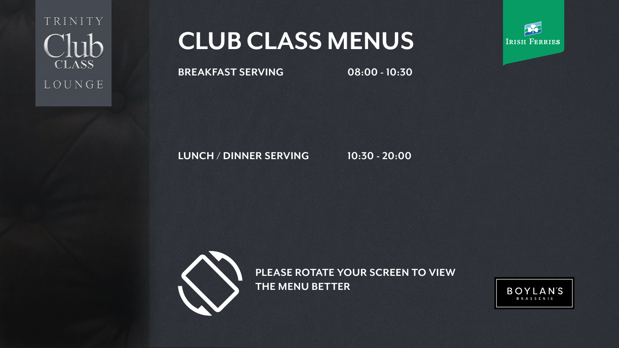**BREAKFAST SERVING 08:00 - 10:30**

## **LUNCH / DINNER SERVING 10:30 - 20:00**



**PLEASE ROTATE YOUR SCREEN TO VIEW THE MENU BETTER**





TRINITY **CLASS** LOUNGE

# **CLUB CLASS MENUS**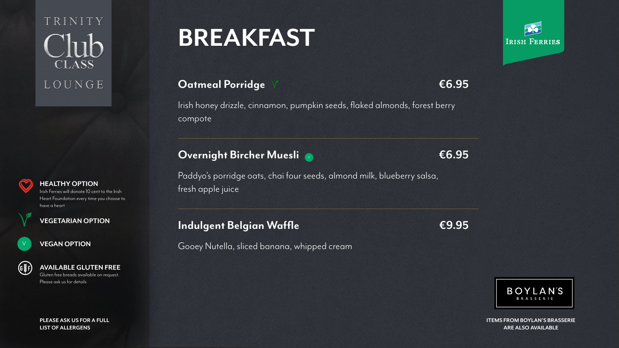# **Oatmeal Porridge €6.95**

Irish honey drizzle, cinnamon, pumpkin seeds, flaked almonds, forest berry compote

# Overnight Bircher Muesli ● **EG.95**

Paddyo's porridge oats, chai four seeds, almond milk, blueberry salsa, fresh apple juice

## **Indulgent Belgian Waffle €9.95**

Gooey Nutella, sliced banana, whipped cream



TRINITY **CLASS** LOUNGE

# **BREAKFAST**

**PLEASE ASK US FOR A FULL LIST OF ALLERGENS**



BOYLAN'S BRASSERIE



#### **HEALTHY OPTION**

Irish Ferries will donate 10 cent to the Irish Heart Foundation every time you choose to have a heart



### **VEGAN OPTION**



### **AVAILABLE GLUTEN FREE**

Gluten free breads available on request. Please ask us for details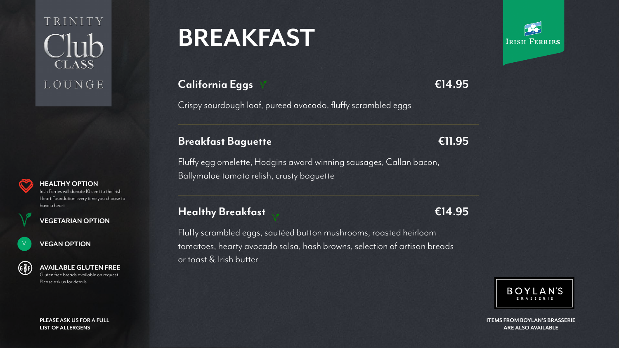# **California Eggs €14.95**

## Crispy sourdough loaf, pureed avocado, fluffy scrambled eggs



## **Breakfast Baguette €11.95**

Fluffy egg omelette, Hodgins award winning sausages, Callan bacon, Ballymaloe tomato relish, crusty baguette

## **Healthy Breakfast €14.95**

Fluffy scrambled eggs, sautéed button mushrooms, roasted heirloom tomatoes, hearty avocado salsa, hash browns, selection of artisan breads or toast & Irish butter



# TRINITY **CLASS** LOUNGE

# **BREAKFAST**

**PLEASE ASK US FOR A FULL LIST OF ALLERGENS**





#### **HEALTHY OPTION**

Irish Ferries will donate 10 cent to the Irish Heart Foundation every time you choose to have a heart



### **VEGAN OPTION**



### **AVAILABLE GLUTEN FREE**

Gluten free breads available on request. Please ask us for details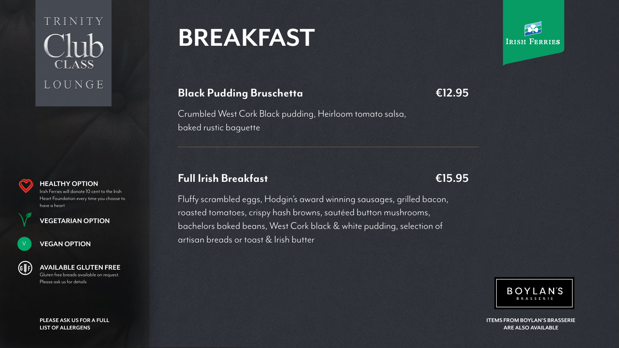# **Black Pudding Bruschetta €12.95**

Crumbled West Cork Black pudding, Heirloom tomato salsa, baked rustic baguette



# **Full Irish Breakfast €15.95**

Fluffy scrambled eggs, Hodgin's award winning sausages, grilled bacon, roasted tomatoes, crispy hash browns, sautéed button mushrooms, bachelors baked beans, West Cork black & white pudding, selection of artisan breads or toast & Irish butter





TRINITY CLASS LOUNGE

# **BREAKFAST**

**PLEASE ASK US FOR A FULL LIST OF ALLERGENS**



#### **HEALTHY OPTION**

Irish Ferries will donate 10 cent to the Irish Heart Foundation every time you choose to have a heart



#### **VEGAN OPTION**



### **AVAILABLE GLUTEN FREE**

Gluten free breads available on request. Please ask us for details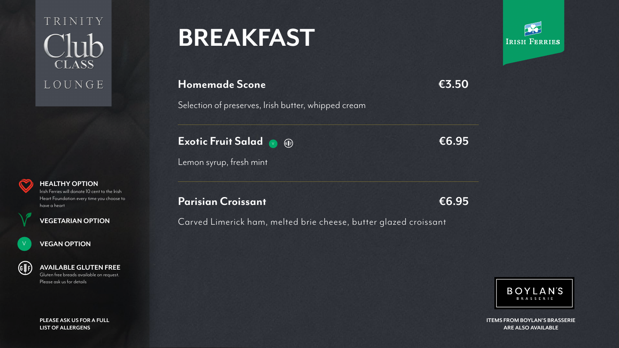**Homemade Scone €3.50**

Selection of preserves, Irish butter, whipped cream

# Exotic Fruit Salad ● <sub>●</sub>



Lemon syrup, fresh mint

## **Parisian Croissant €6.95**

Carved Limerick ham, melted brie cheese, butter glazed croissant





TRINITY **CLASS** LOUNGE

# **BREAKFAST**

**PLEASE ASK US FOR A FULL LIST OF ALLERGENS**



**HEALTHY OPTION**

Irish Ferries will donate 10 cent to the Irish Heart Foundation every time you choose to have a heart



### **VEGETARIAN OPTION**

### **VEGAN OPTION**



### **AVAILABLE GLUTEN FREE**

Gluten free breads available on request. Please ask us for details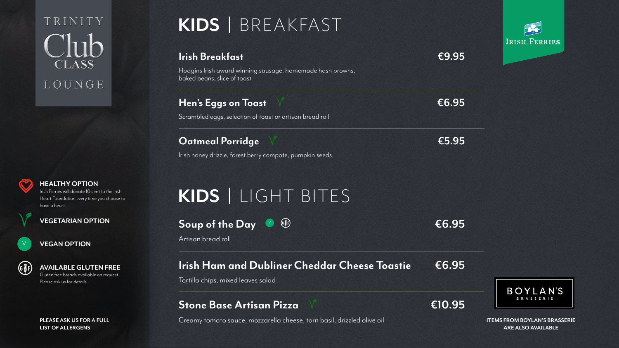## **Irish Breakfast €9.95**

Hodgins Irish award winning sausage, homemade hash browns, baked beans, slice of toast

# **Hen's Eggs on Toast €6.95**

Scrambled eggs, selection of toast or artisan bread roll

## **Oatmeal Porridge €5.95**

Irish honey drizzle, forest berry compote, pumpkin seeds



# **Soup of the Day €6.95**



Artisan bread roll

**Irish Ham and Dubliner Cheddar Cheese Toastie €6.95**

BOYLAN'S BRASSERIE

Tortilla chips, mixed leaves salad

# **Stone Base Artisan Pizza €10.95**

Creamy tomato sauce, mozzarella cheese, torn basil, drizzled olive oil



# TRINITY **CLASS** LOUNGE

# **KIDS |** BREAKFAST

# **KIDS |** LIGHT BITES

#### **PLEASE ASK US FOR A FULL LIST OF ALLERGENS**



#### **HEALTHY OPTION**

Irish Ferries will donate 10 cent to the Irish Heart Foundation every time you choose to have a heart



## **VEGETARIAN OPTION**

### **VEGAN OPTION**



### **AVAILABLE GLUTEN FREE**

Gluten free breads available on request. Please ask us for details

> **ITEMS FROM BOYLAN'S BRASSERIE ARE ALSO AVAILABLE**

V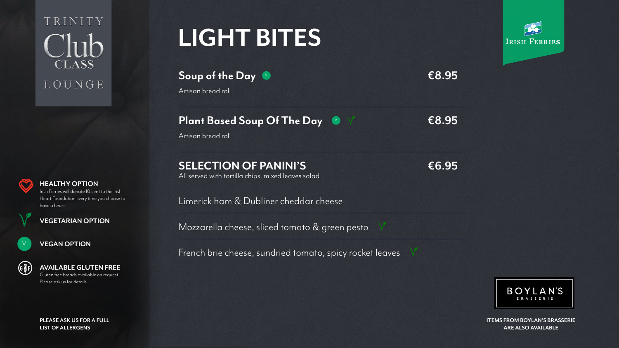Artisan bread roll

# Plant Based Soup Of The Day ● <del>☆ ●</del>8.95

Artisan bread roll

# **SELECTION OF PANINI'S €6.95**

All served with tortilla chips, mixed leaves salad

Limerick ham & Dubliner cheddar cheese

Mozzarella cheese, sliced tomato & green pesto

French brie cheese, sundried tomato, spicy rocket leaves



TRINITY **CLASS** LOUNGE

# **LIGHT BITES**

Soup of the Day ● **E8.95** V

**PLEASE ASK US FOR A FULL LIST OF ALLERGENS**







#### **HEALTHY OPTION**

Irish Ferries will donate 10 cent to the Irish Heart Foundation every time you choose to have a heart



### **VEGAN OPTION**



### **AVAILABLE GLUTEN FREE**

Gluten free breads available on request. Please ask us for details

> **ITEMS FROM BOYLAN'S BRASSERIE ARE ALSO AVAILABLE**

V

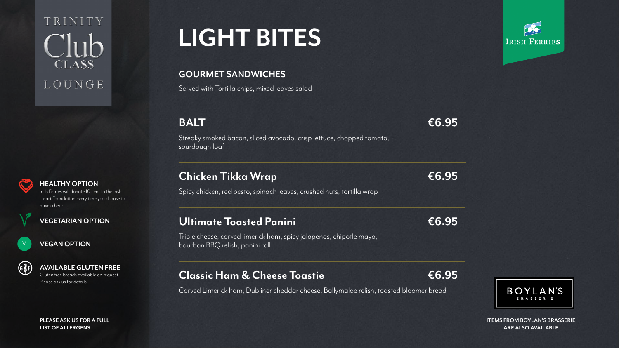## **GOURMET SANDWICHES**

Served with Tortilla chips, mixed leaves salad





Streaky smoked bacon, sliced avocado, crisp lettuce, chopped tomato, sourdough loaf

# **Chicken Tikka Wrap**

Spicy chicken, red pesto, spinach leaves, crushed nuts, tortilla wrap

## **Ultimate Toasted Panini €6.95**

Triple cheese, carved limerick ham, spicy jalapenos, chipotle mayo, bourbon BBQ relish, panini roll

# **Classic Ham & Cheese Toastie €6.95**

Carved Limerick ham, Dubliner cheddar cheese, Ballymaloe relish, toasted bloomer bread



TRINITY **CLASS** LOUNGE

# **LIGHT BITES**

**PLEASE ASK US FOR A FULL LIST OF ALLERGENS**





### **HEALTHY OPTION**

Irish Ferries will donate 10 cent to the Irish Heart Foundation every time you choose to have a heart



### **VEGAN OPTION**



### **AVAILABLE GLUTEN FREE**

Gluten free breads available on request. Please ask us for details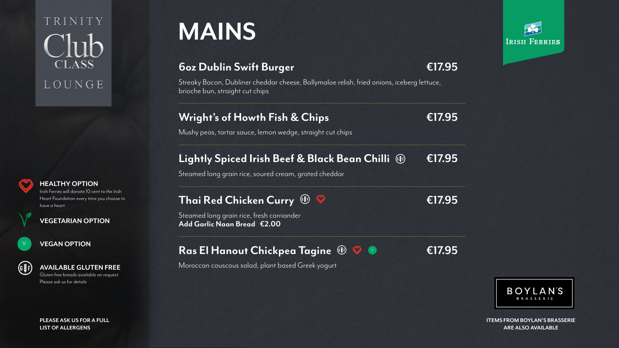TRINITY **CLASS** LOUNGE

# **MAINS**

# **6oz Dublin Swift Burger €17.95**

Streaky Bacon, Dubliner cheddar cheese, Ballymaloe relish, fried onions, iceberg lettuce, brioche bun, straight cut chips

# **Wright's of Howth Fish**

Mushy peas, tartar sauce, lemon wed

# **Lightly Spiced Irish Beet**

Steamed long grain rice, soured crear

# **Thai Red Chicken Curry**

Steamed long grain rice, fresh corrian **Add Garlic Naan Bread €2.00**

# **Ras El Hanout Chickpe**

Moroccan couscous salad, plant base



**PLEASE ASK US FOR A FULL LIST OF ALLERGENS**





#### **HEALTHY OPTION**

Irish Ferries will donate 10 cent to the Irish Heart Foundation every time you choose to have a heart



### **VEGAN OPTION**



### **AVAILABLE GLUTEN FREE**

Gluten free breads available on request. Please ask us for details

| & Chips<br>ge, straight cut chips                                                                                                       | €17.95 |
|-----------------------------------------------------------------------------------------------------------------------------------------|--------|
| f & Black Bean Chilli (\$)<br>n, grated cheddar                                                                                         | €17.95 |
| $\bigcirc$<br>$\left(\begin{matrix} 0 & \frac{1}{2} \\ \frac{1}{2} & \frac{1}{2} \end{matrix}\right)$<br>$\overline{\mathbf{y}}$<br>der | €17.95 |
| a Tagine ®<br>$\bigcirc$<br>(V)<br>ed Greek voaurt                                                                                      | €17.95 |

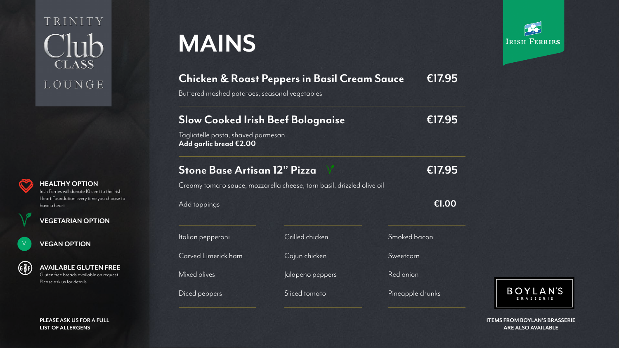# **Chicken & Roast Peppers in Basil Cream Sauce €17.95**

Buttered mashed potatoes, seasonal vegetables

**Slow Cooked Irish Beef Bolognaise €17.95**

rilled chicken

ajun chicken

lapeno peppers

iced tomato

Tagliatelle pasta, shaved parmesan **Add garlic bread €2.00**

# **Stone Base Artisan 12" Pizza €17.95**

Creamy tomato sauce, mozzarella cheese, torn basil, drizzled olive oil

Add toppings **€1.00**

| <u>Italian pepperoni</u> |                |
|--------------------------|----------------|
| Carved Limerick ham      |                |
| Mixed olives             | $\overline{a}$ |
| Diced peppers            | Sli            |



Smoked bacon

Sweetcorn

Red onion

Pineapple chunks



# TRINITY **CLASS** LOUNGE

# **MAINS**

#### **PLEASE ASK US FOR A FULL LIST OF ALLERGENS**





#### **HEALTHY OPTION**

Irish Ferries will donate 10 cent to the Irish Heart Foundation every time you choose to have a heart



## **VEGETARIAN OPTION**

### **VEGAN OPTION**



### **AVAILABLE GLUTEN FREE**

Gluten free breads available on request. Please ask us for details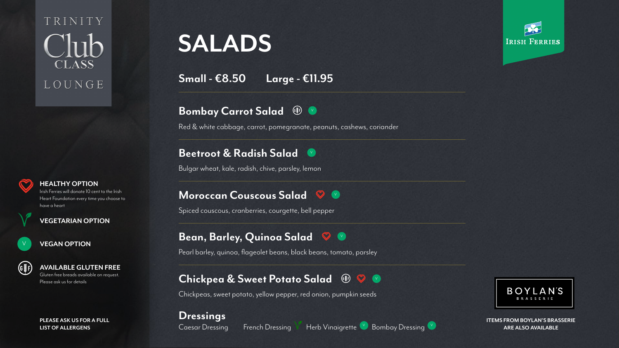TRINITY **CLASS** LOUNGE

# **SALADS**

**Small - €8.50 Large - €11.95**

# **Bombay Carrot Salad**

Red & white cabbage, carrot, pomegranate, peanuts, cashews, coriander

# **Beetroot & Radish Salad**

Bulgar wheat, kale, radish, chive, parsley, lemon

Spiced couscous, cranberries, courgette, bell pepper

Pearl barley, quinoa, flageolet beans, black beans, tomato, parsley

## **Chickpea & Sweet Potato Salad** (D)

**Dressings** Caesar Dressing French Dressing V Herb Vinaigrette C Bombay Dressing C



Chickpeas, sweet potato, yellow pepper, red onion, pumpkin seeds

#### **PLEASE ASK US FOR A FULL LIST OF ALLERGENS**





#### **HEALTHY OPTION**

#### **Moroccan Couscous Salad** V

#### **Bean, Barley, Quinoa Salad** V

Irish Ferries will donate 10 cent to the Irish Heart Foundation every time you choose to have a heart



### **VEGAN OPTION**



### **AVAILABLE GLUTEN FREE**

Gluten free breads available on request. Please ask us for details

> **ITEMS FROM BOYLAN'S BRASSERIE ARE ALSO AVAILABLE**











V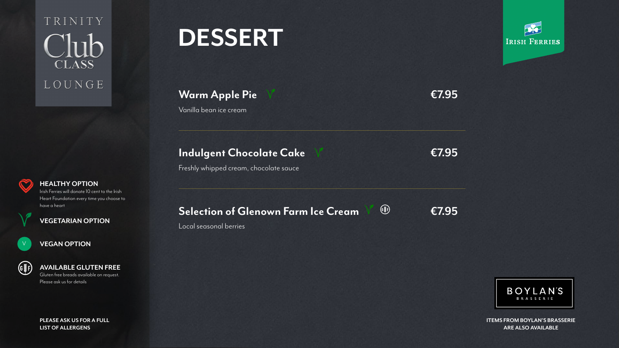TRINITY **CLASS** LOUNGE

# **DESSERT**

**PLEASE ASK US FOR A FULL LIST OF ALLERGENS**

# Selection of Glenown Farm Ice Cream <del>€7.95</del>

**ITEMS FROM BOYLAN'S BRASSERIE ARE ALSO AVAILABLE**



#### **HEALTHY OPTION**

Irish Ferries will donate 10 cent to the Irish Heart Foundation every time you choose to have a heart



### **VEGAN OPTION**



### **AVAILABLE GLUTEN FREE**

Gluten free breads available on request. Please ask us for details

## **Warm Apple Pie €7.95**

Vanilla bean ice cream

# **Indulgent Chocolate Cake €7.95**

Freshly whipped cream, chocolate sauce

Local seasonal berries